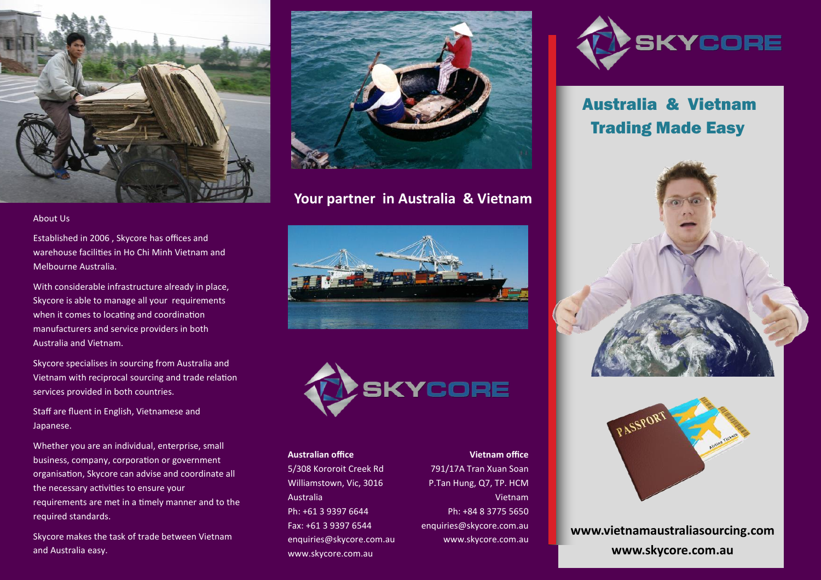

#### About Us

Established in 2006 , Skycore has offices and warehouse facilities in Ho Chi Minh Vietnam and Melbourne Australia.

With considerable infrastructure already in place, Skycore is able to manage all your requirements when it comes to locating and coordination manufacturers and service providers in both Australia and Vietnam.

Skycore specialises in sourcing from Australia and Vietnam with reciprocal sourcing and trade relation services provided in both countries.

Staff are fluent in English, Vietnamese and Japanese.

Whether you are an individual, enterprise, small business, company, corporation or government organisation, Skycore can advise and coordinate all the necessary activities to ensure your requirements are met in a timely manner and to the required standards.

Skycore makes the task of trade between Vietnam and Australia easy.



### **Your partner in Australia & Vietnam**





### **Australian office**

5/308 Kororoit Creek Rd Williamstown, Vic, 3016 Australia Ph: +61 3 9397 6644 Fax: +61 3 9397 6544 enquiries@skycore.com.au www.skycore.com.au

791/17A Tran Xuan Soan P.Tan Hung, Q7, TP. HCM Vietnam Ph: +84 8 3775 5650 enquiries@skycore.com.au www.skycore.com.au

**Vietnam office**



## Australia & Vietnam Trading Made Easy





**www.vietnamaustraliasourcing.com www.skycore.com.au**